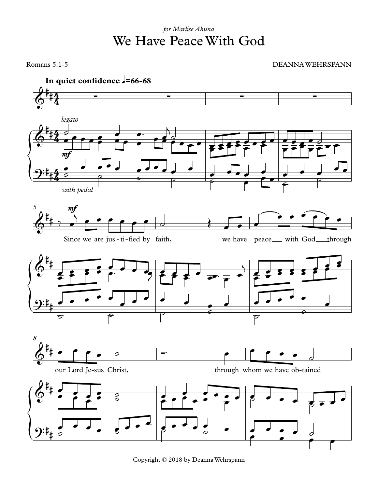## We Have PeaceWith God *for Marlise Ahuna*

Romans 5:1-5 DEANNA WEHRSPANN



Copyright © 2018 by DeannaWehrspann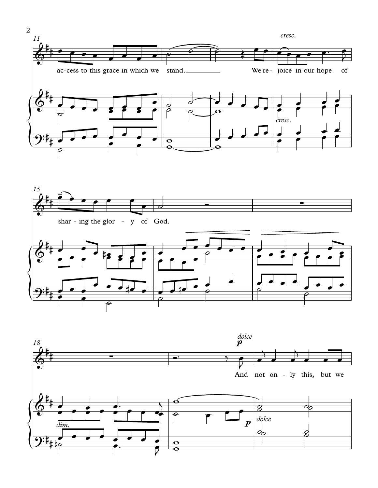